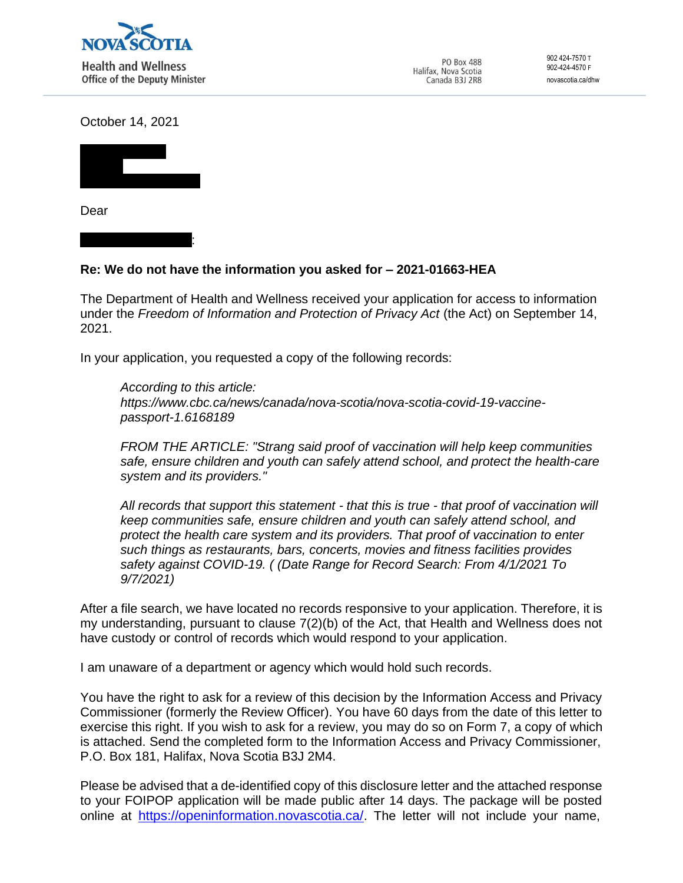

October 14, 2021



 $X \times \mathbb{R} \times \mathbb{R} \times \mathbb{R}$ 

Dear

## **Re: We do not have the information you asked for – 2021-01663-HEA**

The Department of Health and Wellness received your application for access to information under the *Freedom of Information and Protection of Privacy Act* (the Act) on September 14, 2021.

In your application, you requested a copy of the following records:

*According to this article: https:/[/www.cbc.ca/news/canada/nova-scotia/nova-scotia-covid-19-vaccine](http://www.cbc.ca/news/canada/nova-scotia/nova-scotia-covid-19-vaccine-)passport-1.6168189*

*FROM THE ARTICLE: "Strang said proof of vaccination will help keep communities safe, ensure children and youth can safely attend school, and protect the health-care system and its providers."*

*All records that support this statement - that this is true - that proof of vaccination will keep communities safe, ensure children and youth can safely attend school, and protect the health care system and its providers. That proof of vaccination to enter such things as restaurants, bars, concerts, movies and fitness facilities provides safety against COVID-19. ( (Date Range for Record Search: From 4/1/2021 To 9/7/2021)*

After a file search, we have located no records responsive to your application. Therefore, it is my understanding, pursuant to clause 7(2)(b) of the Act, that Health and Wellness does not have custody or control of records which would respond to your application.

I am unaware of a department or agency which would hold such records.

You have the right to ask for a review of this decision by the Information Access and Privacy Commissioner (formerly the Review Officer). You have 60 days from the date of this letter to exercise this right. If you wish to ask for a review, you may do so on Form 7, a copy of which is attached. Send the completed form to the Information Access and Privacy Commissioner, P.O. Box 181, Halifax, Nova Scotia B3J 2M4.

Please be advised that a de-identified copy of this disclosure letter and the attached response to your FOIPOP application will be made public after 14 days. The package will be posted online at <https://openinformation.novascotia.ca/>. The letter will not include your name,